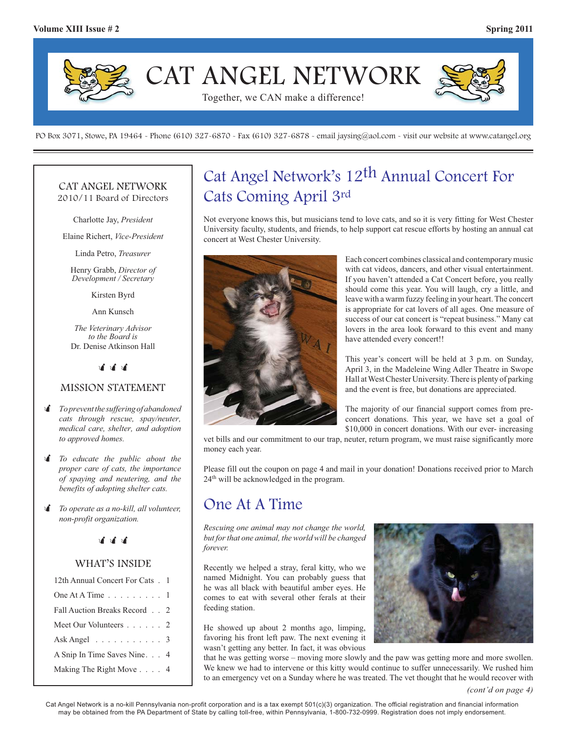

PO Box 3071, Stowe, PA 19464 - Phone (610) 327-6870 - Fax (610) 327-6878 - email jaysing@aol.com - visit our website at www.catangel.org

#### CAT ANGEL NETWORK 2010/11 Board of Directors

Charlotte Jay, *President*

Elaine Richert, *Vice-President*

Linda Petro, *Treasurer*

Henry Grabb, *Director of Development / Secretary*

Kirsten Byrd

Ann Kunsch

*The Veterinary Advisor to the Board is*  Dr. Denise Atkinson Hall

.<br>जीवी जी

#### MISSION STATEMENT

- - *To prevent the suffering of abandoned cats through rescue, spay/neuter, medical care, shelter, and adoption to approved homes.*
- *I To educate the public about the proper care of cats, the importance of spaying and neutering, and the benefits of adopting shelter cats.*
- - *To operate as a no-kill, all volunteer, non-profit organization.*

## <u>चं चं चं</u>

#### WHAT'S INSIDE

| 12th Annual Concert For Cats . 1                |  |
|-------------------------------------------------|--|
| One At A Time $\ldots \ldots \ldots 1$          |  |
| Fall Auction Breaks Record 2                    |  |
| Meet Our Volunteers 2                           |  |
| Ask Angel $\ldots$ $\ldots$ $\ldots$ $\ldots$ 3 |  |
| A Snip In Time Saves Nine. 4                    |  |
| Making The Right Move 4                         |  |

## Cat Angel Network's 12th Annual Concert For Cats Coming April 3rd

Not everyone knows this, but musicians tend to love cats, and so it is very fitting for West Chester University faculty, students, and friends, to help support cat rescue efforts by hosting an annual cat concert at West Chester University.



Each concert combines classical and contemporary music with cat videos, dancers, and other visual entertainment. If you haven't attended a Cat Concert before, you really should come this year. You will laugh, cry a little, and leave with a warm fuzzy feeling in your heart. The concert is appropriate for cat lovers of all ages. One measure of success of our cat concert is "repeat business." Many cat lovers in the area look forward to this event and many have attended every concert!!

This year's concert will be held at 3 p.m. on Sunday, April 3, in the Madeleine Wing Adler Theatre in Swope Hall at West Chester University. There is plenty of parking and the event is free, but donations are appreciated.

The majority of our financial support comes from preconcert donations. This year, we have set a goal of \$10,000 in concert donations. With our ever- increasing

vet bills and our commitment to our trap, neuter, return program, we must raise significantly more money each year.

Please fill out the coupon on page 4 and mail in your donation! Donations received prior to March 24<sup>th</sup> will be acknowledged in the program.

## One At A Time

*Rescuing one animal may not change the world, but for that one animal, the world will be changed forever.*

Recently we helped a stray, feral kitty, who we named Midnight. You can probably guess that he was all black with beautiful amber eyes. He comes to eat with several other ferals at their feeding station.

He showed up about 2 months ago, limping, favoring his front left paw. The next evening it wasn't getting any better. In fact, it was obvious



that he was getting worse – moving more slowly and the paw was getting more and more swollen. We knew we had to intervene or this kitty would continue to suffer unnecessarily. We rushed him to an emergency vet on a Sunday where he was treated. The vet thought that he would recover with

Cat Angel Network is a no-kill Pennsylvania non-profit corporation and is a tax exempt 501(c)(3) organization. The official registration and financial information may be obtained from the PA Department of State by calling toll-free, within Pennsylvania, 1-800-732-0999. Registration does not imply endorsement.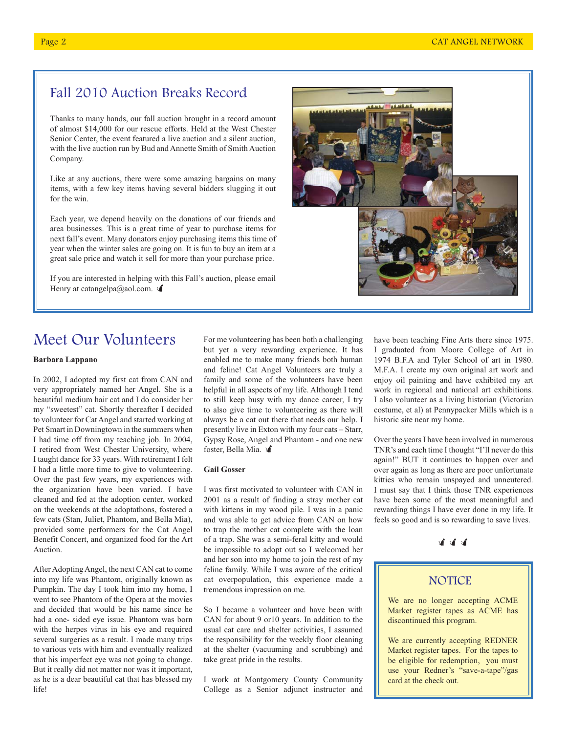## Fall 2010 Auction Breaks Record

Thanks to many hands, our fall auction brought in a record amount of almost \$14,000 for our rescue efforts. Held at the West Chester Senior Center, the event featured a live auction and a silent auction, with the live auction run by Bud and Annette Smith of Smith Auction Company.

Like at any auctions, there were some amazing bargains on many items, with a few key items having several bidders slugging it out for the win.

Each year, we depend heavily on the donations of our friends and area businesses. This is a great time of year to purchase items for next fall's event. Many donators enjoy purchasing items this time of year when the winter sales are going on. It is fun to buy an item at a great sale price and watch it sell for more than your purchase price.

If you are interested in helping with this Fall's auction, please email Henry at catangelpa@aol.com.  $\triangleleft$ 



## Meet Our Volunteers

#### **Barbara Lappano**

In 2002, I adopted my first cat from CAN and very appropriately named her Angel. She is a beautiful medium hair cat and I do consider her my "sweetest" cat. Shortly thereafter I decided to volunteer for Cat Angel and started working at Pet Smart in Downingtown in the summers when I had time off from my teaching job. In 2004, I retired from West Chester University, where I taught dance for 33 years. With retirement I felt I had a little more time to give to volunteering. Over the past few years, my experiences with the organization have been varied. I have cleaned and fed at the adoption center, worked on the weekends at the adoptathons, fostered a few cats (Stan, Juliet, Phantom, and Bella Mia), provided some performers for the Cat Angel Benefit Concert, and organized food for the Art Auction.

After Adopting Angel, the next CAN cat to come into my life was Phantom, originally known as Pumpkin. The day I took him into my home, I went to see Phantom of the Opera at the movies and decided that would be his name since he had a one- sided eye issue. Phantom was born with the herpes virus in his eye and required several surgeries as a result. I made many trips to various vets with him and eventually realized that his imperfect eye was not going to change. But it really did not matter nor was it important, as he is a dear beautiful cat that has blessed my life!

For me volunteering has been both a challenging but yet a very rewarding experience. It has enabled me to make many friends both human and feline! Cat Angel Volunteers are truly a family and some of the volunteers have been helpful in all aspects of my life. Although I tend to still keep busy with my dance career, I try to also give time to volunteering as there will always be a cat out there that needs our help. I presently live in Exton with my four cats – Starr, Gypsy Rose, Angel and Phantom - and one new  $Gypy$  Rose,  $Tmg$ chas

#### **Gail Gosser**

I was first motivated to volunteer with CAN in 2001 as a result of finding a stray mother cat with kittens in my wood pile. I was in a panic and was able to get advice from CAN on how to trap the mother cat complete with the loan of a trap. She was a semi-feral kitty and would be impossible to adopt out so I welcomed her and her son into my home to join the rest of my feline family. While I was aware of the critical cat overpopulation, this experience made a tremendous impression on me.

So I became a volunteer and have been with CAN for about 9 or10 years. In addition to the usual cat care and shelter activities, I assumed the responsibility for the weekly floor cleaning at the shelter (vacuuming and scrubbing) and take great pride in the results.

I work at Montgomery County Community College as a Senior adjunct instructor and have been teaching Fine Arts there since 1975. I graduated from Moore College of Art in 1974 B.F.A and Tyler School of art in 1980. M.F.A. I create my own original art work and enjoy oil painting and have exhibited my art work in regional and national art exhibitions. I also volunteer as a living historian (Victorian costume, et al) at Pennypacker Mills which is a historic site near my home.

Over the years I have been involved in numerous TNR's and each time I thought "I'll never do this again!" BUT it continues to happen over and over again as long as there are poor unfortunate kitties who remain unspayed and unneutered. I must say that I think those TNR experiences have been some of the most meaningful and rewarding things I have ever done in my life. It feels so good and is so rewarding to save lives.

---

#### **NOTICE**

We are no longer accepting ACME Market register tapes as ACME has discontinued this program.

We are currently accepting REDNER Market register tapes. For the tapes to be eligible for redemption, you must use your Redner's "save-a-tape"/gas card at the check out.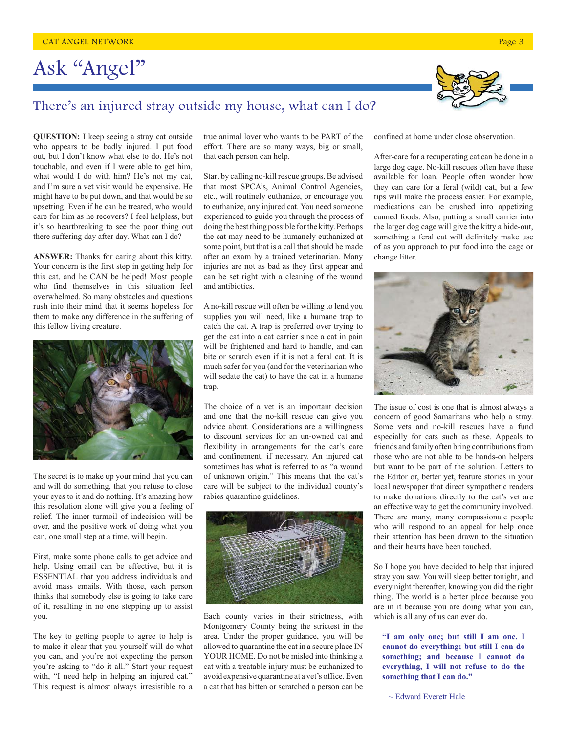# Ask "Angel"



## There's an injured stray outside my house, what can I do?

**QUESTION:** I keep seeing a stray cat outside who appears to be badly injured. I put food out, but I don't know what else to do. He's not touchable, and even if I were able to get him, what would I do with him? He's not my cat, and I'm sure a vet visit would be expensive. He might have to be put down, and that would be so upsetting. Even if he can be treated, who would care for him as he recovers? I feel helpless, but it's so heartbreaking to see the poor thing out there suffering day after day. What can I do?

**ANSWER:** Thanks for caring about this kitty. Your concern is the first step in getting help for this cat, and he CAN be helped! Most people who find themselves in this situation feel overwhelmed. So many obstacles and questions rush into their mind that it seems hopeless for them to make any difference in the suffering of this fellow living creature.



The secret is to make up your mind that you can and will do something, that you refuse to close your eyes to it and do nothing. It's amazing how this resolution alone will give you a feeling of relief. The inner turmoil of indecision will be over, and the positive work of doing what you can, one small step at a time, will begin.

First, make some phone calls to get advice and help. Using email can be effective, but it is ESSENTIAL that you address individuals and avoid mass emails. With those, each person thinks that somebody else is going to take care of it, resulting in no one stepping up to assist you.

The key to getting people to agree to help is to make it clear that you yourself will do what you can, and you're not expecting the person you're asking to "do it all." Start your request with, "I need help in helping an injured cat." This request is almost always irresistible to a

true animal lover who wants to be PART of the effort. There are so many ways, big or small, that each person can help.

Start by calling no-kill rescue groups. Be advised that most SPCA's, Animal Control Agencies, etc., will routinely euthanize, or encourage you to euthanize, any injured cat. You need someone experienced to guide you through the process of doing the best thing possible for the kitty. Perhaps the cat may need to be humanely euthanized at some point, but that is a call that should be made after an exam by a trained veterinarian. Many injuries are not as bad as they first appear and can be set right with a cleaning of the wound and antibiotics.

A no-kill rescue will often be willing to lend you supplies you will need, like a humane trap to catch the cat. A trap is preferred over trying to get the cat into a cat carrier since a cat in pain will be frightened and hard to handle, and can bite or scratch even if it is not a feral cat. It is much safer for you (and for the veterinarian who will sedate the cat) to have the cat in a humane trap.

The choice of a vet is an important decision and one that the no-kill rescue can give you advice about. Considerations are a willingness to discount services for an un-owned cat and flexibility in arrangements for the cat's care and confinement, if necessary. An injured cat sometimes has what is referred to as "a wound of unknown origin." This means that the cat's care will be subject to the individual county's rabies quarantine guidelines.



Each county varies in their strictness, with Montgomery County being the strictest in the area. Under the proper guidance, you will be allowed to quarantine the cat in a secure place IN YOUR HOME. Do not be misled into thinking a cat with a treatable injury must be euthanized to avoid expensive quarantine at a vet's office. Even a cat that has bitten or scratched a person can be

confined at home under close observation.

After-care for a recuperating cat can be done in a large dog cage. No-kill rescues often have these available for loan. People often wonder how they can care for a feral (wild) cat, but a few tips will make the process easier. For example, medications can be crushed into appetizing canned foods. Also, putting a small carrier into the larger dog cage will give the kitty a hide-out, something a feral cat will definitely make use of as you approach to put food into the cage or change litter.



The issue of cost is one that is almost always a concern of good Samaritans who help a stray. Some vets and no-kill rescues have a fund especially for cats such as these. Appeals to friends and family often bring contributions from those who are not able to be hands-on helpers but want to be part of the solution. Letters to the Editor or, better yet, feature stories in your local newspaper that direct sympathetic readers to make donations directly to the cat's vet are an effective way to get the community involved. There are many, many compassionate people who will respond to an appeal for help once their attention has been drawn to the situation and their hearts have been touched.

So I hope you have decided to help that injured stray you saw. You will sleep better tonight, and every night thereafter, knowing you did the right thing. The world is a better place because you are in it because you are doing what you can, which is all any of us can ever do.

**"I am only one; but still I am one. I cannot do everything; but still I can do something; and because I cannot do everything, I will not refuse to do the something that I can do."**

~ Edward Everett Hale